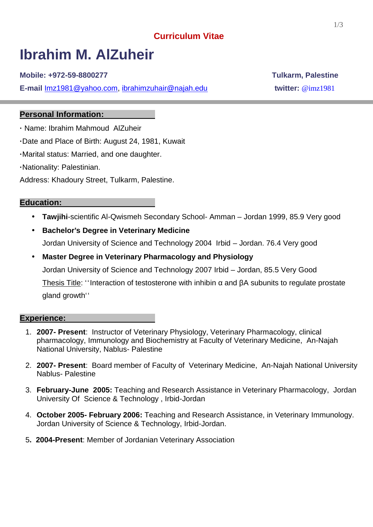# **Curriculum Vitae**

# **Ibrahim M. AlZuheir**

**Mobile: +972-59-8800277 Tulkarm, Palestine**

**E-mail** Imz1981@yahoo.com, ibrahimzuhair@najah.edu **twitter:** @imz1981

# **Personal Information:**

**·** Name: Ibrahim Mahmoud AlZuheir

**·**Date and Place of Birth: August 24, 1981, Kuwait

**·**Marital status: Married, and one daughter.

**·**Nationality: Palestinian.

Address: Khadoury Street, Tulkarm, Palestine.

#### **Education:**

- **Tawjihi**-scientific Al-Qwismeh Secondary School- Amman Jordan 1999, 85.9 Very good
- **Bachelor's Degree in Veterinary Medicine** Jordan University of Science and Technology 2004 Irbid – Jordan. 76.4 Very good
- **Master Degree in Veterinary Pharmacology and Physiology** Jordan University of Science and Technology 2007 Irbid – Jordan, 85.5 Very Good Thesis Title: "Interaction of testosterone with inhibin and A subunits to regulate prostate gland growth<sup>"</sup>

#### **Experience:**

- 1. **2007- Present**: Instructor of Veterinary Physiology, Veterinary Pharmacology, clinical pharmacology, Immunology and Biochemistry at Faculty of Veterinary Medicine, An-Najah National University, Nablus- Palestine
- 2. **2007- Present**: Board member of Faculty of Veterinary Medicine, An-Najah National University Nablus- Palestine
- 3. **February-June 2005:** Teaching and Research Assistance in Veterinary Pharmacology, Jordan University Of Science & Technology , Irbid-Jordan
- 4. **October 2005- February 2006:** Teaching and Research Assistance, in Veterinary Immunology. Jordan University of Science & Technology, Irbid-Jordan.
- 5**. 2004-Present**: Member of Jordanian Veterinary Association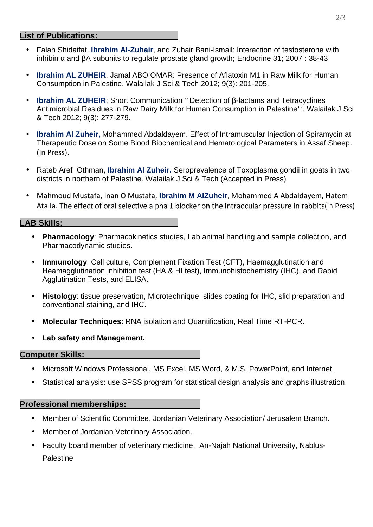### **List of Publications:**

- Falah Shidaifat, **Ibrahim Al-Zuhair**, and Zuhair Bani-Ismail: Interaction of testosterone with inhibin and A subunits to regulate prostate gland growth; Endocrine 31; 2007 : 38-43
- **Ibrahim AL ZUHEIR**, Jamal ABO OMAR: Presence of Aflatoxin M1 in Raw Milk for Human Consumption in Palestine. Walailak J Sci & Tech 2012; 9(3): 201-205.
- **Ibrahim AL ZUHEIR**; Short Communication "Detection of -lactams and Tetracyclines Antimicrobial Residues in Raw Dairy Milk for Human Consumption in Palestine<sup>\*\*</sup>. Walailak J Sci & Tech 2012; 9(3): 277-279.
- **Ibrahim Al Zuheir,** Mohammed Abdaldayem. Effect of Intramuscular Injection of Spiramycin at Therapeutic Dose on Some Blood Biochemical and Hematological Parameters in Assaf Sheep. (In Press).
- Rateb Aref Othman, **Ibrahim Al Zuheir.** Seroprevalence of Toxoplasma gondii in goats in two districts in northern of Palestine. Walailak J Sci & Tech (Accepted in Press)
- Mahmoud Mustafa, Inan O Mustafa, **Ibrahim M AlZuheir**, Mohammed A Abdaldayem, Hatem Atalla. The effect of oral selective alpha 1 blocker on the intraocular pressure in rabbits(In Press)

## **LAB Skills:**

- **Pharmacology**: Pharmacokinetics studies, Lab animal handling and sample collection, and Pharmacodynamic studies.
- **Immunology**: Cell culture, Complement Fixation Test (CFT), Haemagglutination and Heamagglutination inhibition test (HA & HI test), Immunohistochemistry (IHC), and Rapid Agglutination Tests, and ELISA.
- **Histology**: tissue preservation, Microtechnique, slides coating for IHC, slid preparation and conventional staining, and IHC.
- **Molecular Techniques**: RNA isolation and Quantification, Real Time RT-PCR.
- **Lab safety and Management.**

### **Computer Skills:**

- Microsoft Windows Professional, MS Excel, MS Word, & M.S. PowerPoint, and Internet.
- Statistical analysis: use SPSS program for statistical design analysis and graphs illustration

### **Professional memberships:**

- Member of Scientific Committee, Jordanian Veterinary Association/ Jerusalem Branch.
- Member of Jordanian Veterinary Association.
- Faculty board member of veterinary medicine, An-Najah National University, Nablus- **Palestine**